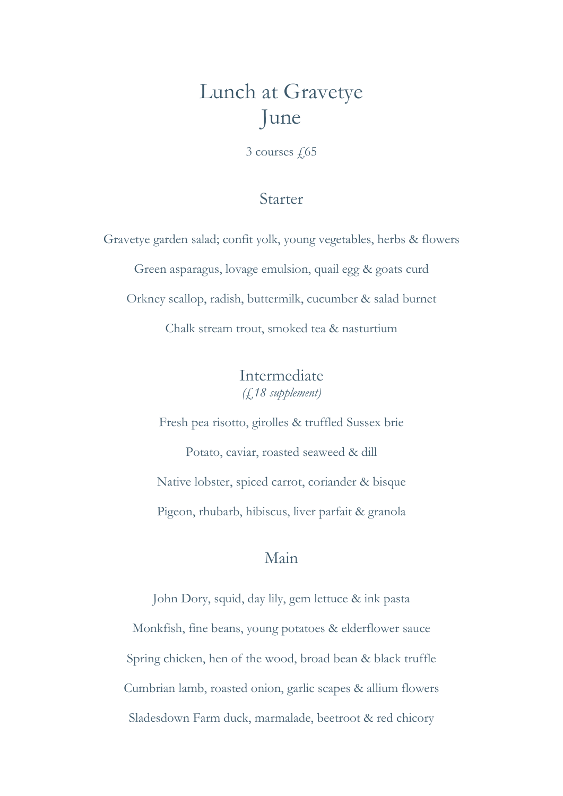### Lunch at Gravetye June

 $3$  courses  $\sqrt{65}$ 

#### Starter

Gravetye garden salad; confit yolk, young vegetables, herbs & flowers Green asparagus, lovage emulsion, quail egg & goats curd Orkney scallop, radish, buttermilk, cucumber & salad burnet Chalk stream trout, smoked tea & nasturtium

> Intermediate (£18 supplement)

Fresh pea risotto, girolles & truffled Sussex brie Potato, caviar, roasted seaweed & dill Native lobster, spiced carrot, coriander & bisque Pigeon, rhubarb, hibiscus, liver parfait & granola

#### Main

John Dory, squid, day lily, gem lettuce & ink pasta Monkfish, fine beans, young potatoes & elderflower sauce Spring chicken, hen of the wood, broad bean & black truffle Cumbrian lamb, roasted onion, garlic scapes & allium flowers Sladesdown Farm duck, marmalade, beetroot & red chicory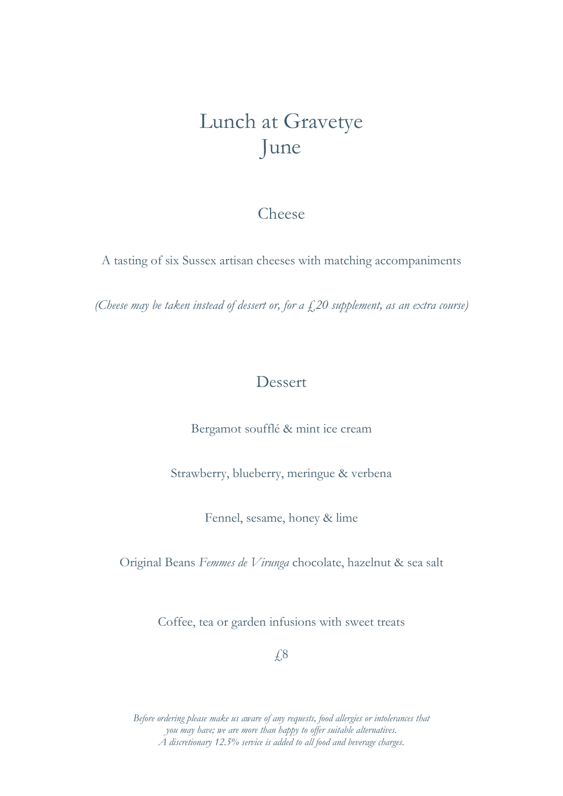## Lunch at Gravetye June

#### Cheese

A tasting of six Sussex artisan cheeses with matching accompaniments

(Cheese may be taken instead of dessert or, for a  $\zeta$ , 20 supplement, as an extra course)

### **Dessert**

Bergamot soufflé & mint ice cream

Strawberry, blueberry, meringue & verbena

Fennel, sesame, honey & lime

Original Beans Femmes de Virunga chocolate, hazelnut & sea salt

Coffee, tea or garden infusions with sweet treats

£8

Before ordering please make us aware of any requests, food allergies or intolerances that you may have; we are more than happy to offer suitable alternatives. A discretionary 12.5% service is added to all food and beverage charges.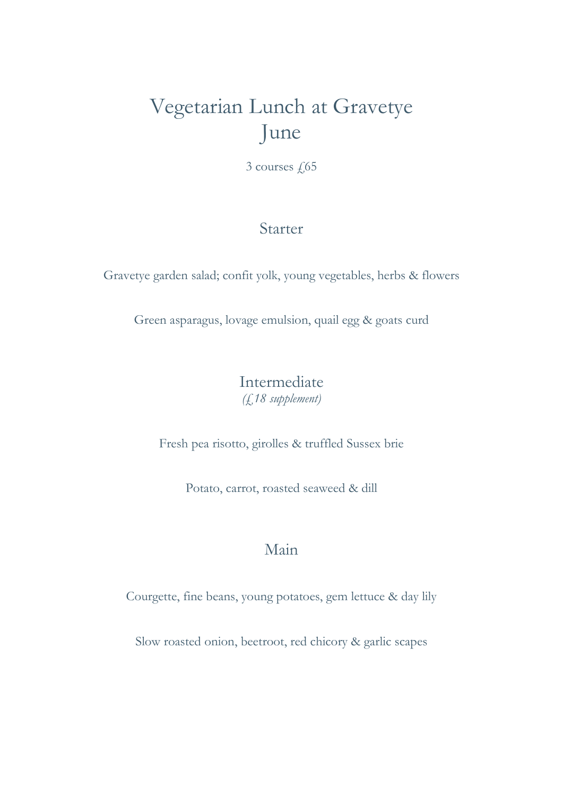# Vegetarian Lunch at Gravetye June

3 courses  $\sqrt{65}$ 

### Starter

Gravetye garden salad; confit yolk, young vegetables, herbs & flowers

Green asparagus, lovage emulsion, quail egg & goats curd

### Intermediate (£18 supplement)

Fresh pea risotto, girolles & truffled Sussex brie

Potato, carrot, roasted seaweed & dill

### Main

Courgette, fine beans, young potatoes, gem lettuce & day lily

Slow roasted onion, beetroot, red chicory & garlic scapes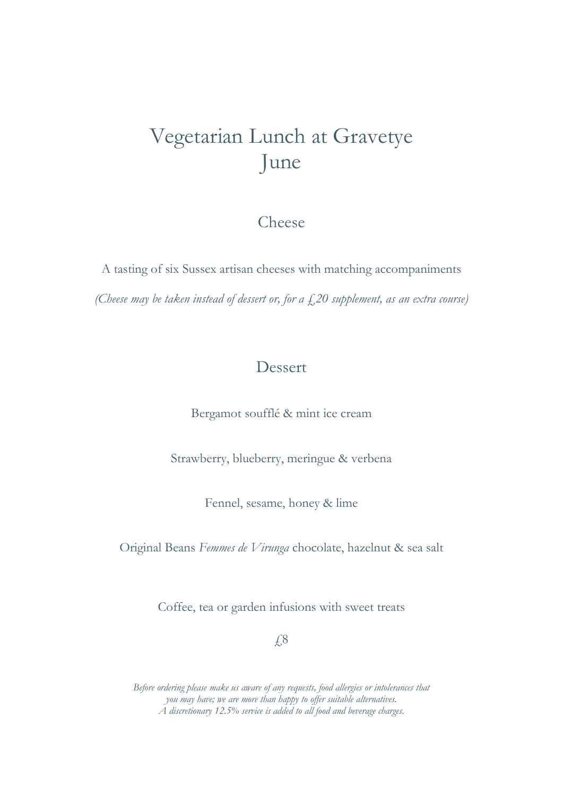## Vegetarian Lunch at Gravetye June

#### Cheese

A tasting of six Sussex artisan cheeses with matching accompaniments (Cheese may be taken instead of dessert or, for a  $f$ , 20 supplement, as an extra course)

### Dessert

Bergamot soufflé & mint ice cream

Strawberry, blueberry, meringue & verbena

Fennel, sesame, honey & lime

Original Beans Femmes de Virunga chocolate, hazelnut & sea salt

Coffee, tea or garden infusions with sweet treats

£8

Before ordering please make us aware of any requests, food allergies or intolerances that you may have; we are more than happy to offer suitable alternatives. A discretionary 12.5% service is added to all food and beverage charges.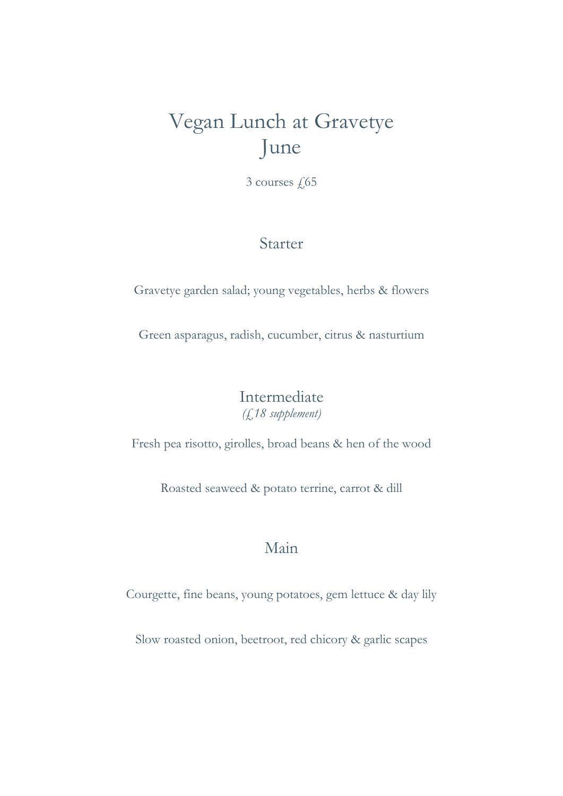## Vegan Lunch at Gravetye June

3 courses  $\sqrt{65}$ 

#### Starter

Gravetye garden salad; young vegetables, herbs & flowers

Green asparagus, radish, cucumber, citrus & nasturtium

Intermediate (£18 supplement)

Fresh pea risotto, girolles, broad beans & hen of the wood

Roasted seaweed & potato terrine, carrot & dill

### Main

Courgette, fine beans, young potatoes, gem lettuce & day lily

Slow roasted onion, beetroot, red chicory & garlic scapes